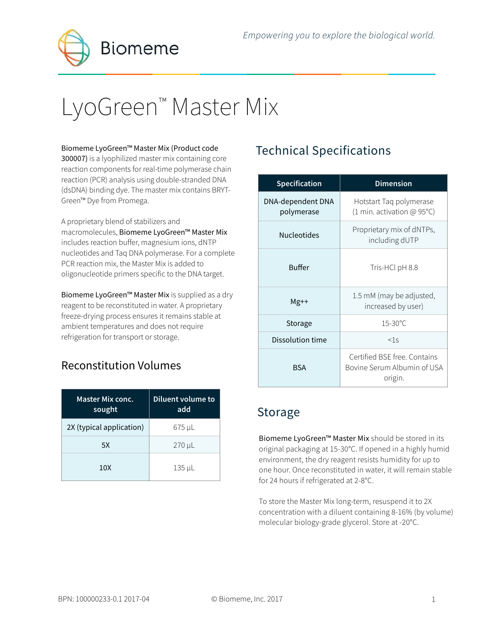**Biomeme** 

# LyoGreen™ Master Mix

#### Biomeme LyoGreen™ Master Mix (Product code

300007) is a lyophilized master mix containing core reaction components for real-time polymerase chain reaction (PCR) analysis using double-stranded DNA (dsDNA) binding dye. The master mix contains BRYT-Green™ Dye from Promega.

A proprietary blend of stabilizers and macromolecules, Biomeme LyoGreen™ Master Mix includes reaction buffer, magnesium ions, dNTP nucleotides and Taq DNA polymerase. For a complete PCR reaction mix, the Master Mix is added to oligonucleotide primers specific to the DNA target.

Biomeme LyoGreen™ Master Mix is supplied as a dry reagent to be reconstituted in water. A proprietary freeze-drying process ensures it remains stable at ambient temperatures and does not require refrigeration for transport or storage.

#### Reconstitution Volumes

| Master Mix conc.<br>sought | Diluent volume to<br>add |
|----------------------------|--------------------------|
| 2X (typical application)   | 675 µL                   |
| 5X                         | $270 \mu L$              |
| 10X                        | $135 \mu L$              |

# Technical Specifications

| <b>Specification</b>            | <b>Dimension</b>                                                       |  |
|---------------------------------|------------------------------------------------------------------------|--|
| DNA-dependent DNA<br>polymerase | Hotstart Taq polymerase<br>(1 min. activation @ 95°C)                  |  |
| <b>Nucleotides</b>              | Proprietary mix of dNTPs,<br>including dUTP                            |  |
| <b>Buffer</b>                   | Tris-HCl pH 8.8                                                        |  |
| $Mg++$                          | 1.5 mM (may be adjusted,<br>increased by user)                         |  |
| Storage                         | $15-30^{\circ}$ C                                                      |  |
| Dissolution time                | $<$ 1.5                                                                |  |
| <b>BSA</b>                      | Certified BSE free, Contains<br>Bovine Serum Albumin of USA<br>origin. |  |

#### Storage

Biomeme LyoGreen™ Master Mix should be stored in its original packaging at 15-30°C. If opened in a highly humid environment, the dry reagent resists humidity for up to one hour. Once reconstituted in water, it will remain stable for 24 hours if refrigerated at 2-8°C.

To store the Master Mix long-term, resuspend it to 2X concentration with a diluent containing 8-16% (by volume) molecular biology-grade glycerol. Store at -20°C.